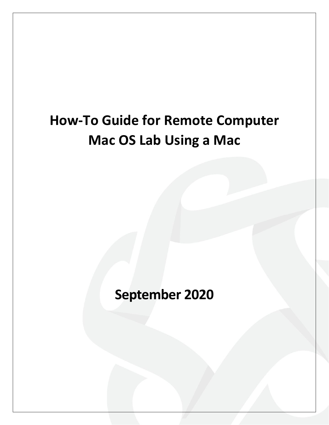# **How-To Guide for Remote Computer Mac OS Lab Using a Mac**

**September 2020**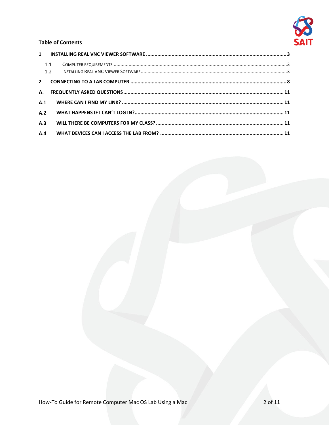

### **Table of Contents**

|                         | 1.1<br>1.2 |  |
|-------------------------|------------|--|
| $\overline{\mathbf{z}}$ |            |  |
| А.                      |            |  |
| A.1                     |            |  |
| A.2                     |            |  |
| A.3                     |            |  |
| A.4                     |            |  |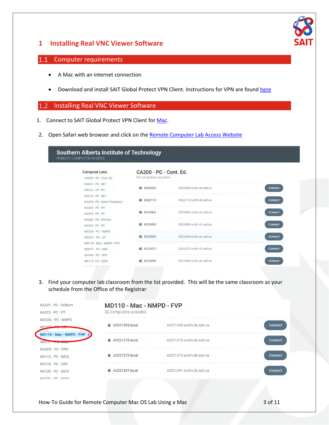

## <span id="page-2-0"></span>**1 Installing Real VNC Viewer Software**

#### <span id="page-2-1"></span>Computer requirements  $|1.1\rangle$

- A Mac with an internet connection
- Download and install SAIT Global Protect VPN Client. Instructions for VPN are found [here](https://www.sait.ca/student-life/student-services/technical-support-and-resources/network-and-wifi-access)

#### <span id="page-2-2"></span>Installing Real VNC Viewer Software  $1.2$

- 1. Connect to SAIT Global Protect VPN Client for [Mac.](https://www.sait.ca/about-sait/administration/departments/health-safety-and-environment-services/pandemic-response/vpn-mac)
- 2. Open Safari web browser and click on the [Remote Computer Lab Access Website](https://remoteaccess.labstats.com/southern-alberta-institute-of-technology)

### Southern Alberta Institute of Technology REMOTE COMPUTER ACCESS

| <b>Computer Labs</b><br>CA200 - PC - Cont. Ed. | CA200 - PC - Cont. Ed.<br>93 computers available |                          |                |
|------------------------------------------------|--------------------------------------------------|--------------------------|----------------|
| KA021 - PC - IIET                              |                                                  |                          |                |
| KA216 - PC - PT                                | IS220393<br>蝿                                    | IS220393.acdm.ds.sait.ca | <b>Connect</b> |
| KA218 - PC - EET                               |                                                  |                          |                |
| KA229 - PC - Water Treatment                   | IS222110<br>缰                                    | IS222110 acdm.ds.sait.ca | Connect        |
| KA303 - PC - PT                                |                                                  |                          |                |
| KA309 - PC - PT                                | ■ IS220442                                       | IS220442.acdm.ds.sait.ca | Connect        |
| KA322 - PC - Drillsim                          |                                                  |                          |                |
| KA323 - PC - PT                                | <b>■ IS220450</b>                                | IS220450 acdm.ds.sait.ca | Connect        |
| MC206 - PC - NMPD                              |                                                  |                          |                |
| $MC207 - PC - LIT$                             | IS222084<br>疆                                    | IS222084.acdm.ds.sait.ca | Connect        |
| MD110 - Mac - NMPD - FVP                       |                                                  |                          |                |
| $MD317 - PC - DBA$                             | IS222072<br>盟                                    | IS222072.acdm.ds.sait.ca | Connect        |
| NH409 - PC - PPD                               |                                                  |                          |                |
| NK113 - PC - BGIS                              | 疆<br>IS222086                                    | IS222086.acdm.ds.sait.ca | Connect        |
| Attractor mon makes                            |                                                  |                          |                |

3. Find your computer lab classroom from the list provided. This will be the same classroom as your schedule from the Office of the Registrar

| KA322 - PC - Drillsim<br>KA323 - PC - PT     | MD110 - Mac - NMPD - FVP<br>32 computers available |                           |         |
|----------------------------------------------|----------------------------------------------------|---------------------------|---------|
| MC206 - PC - NMPD<br>MC207 Be                | $\dot{\bullet}$ ict221269.local                    | ict221269.acdm.ds.sait.ca | Connect |
| MD110 - Mac - NMPD - FVP<br>$MD317 + 8 - 2$  | $\bullet$ ict221275.local                          | ict221275.acdm.ds.sait.ca | Connect |
| NH409 - PC - PPD<br>NK113 - PC - BGIS        | $\dot{\bullet}$ ict221273.local                    | ict221273.acdm.ds.sait.ca | Connect |
| NK116 - PC - GNT<br><b>NK120 - PC - BGIS</b> | ict221291.local<br>a.                              | ict221291.acdm.ds.sait.ca | Connect |
| $NKN201 - DC - RGIS$                         |                                                    |                           |         |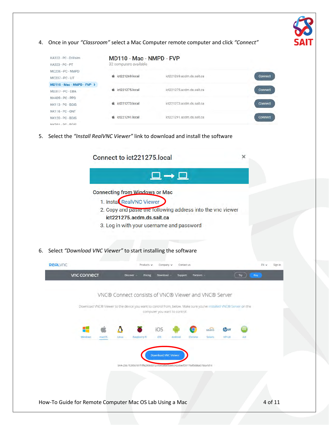4. Once in your *"Classroom"* select a Mac Computer remote computer and click *"Connect"*

| KA322 - PC - Drillsim<br>KA323 - PC - PT         | MD110 - Mac - NMPD - FVP<br>32 computers available |                           |                |
|--------------------------------------------------|----------------------------------------------------|---------------------------|----------------|
| MC206 - PC - NMPD                                | ict221269.local<br>œ.                              | ict221269.acdm.ds.sait.ca | <b>Connect</b> |
| MC207 - PC - LIT<br>$MD110 - Mac - NMPD - FVP$ > |                                                    |                           |                |
| $MD317 - PC - DBA$                               | ict221275.local<br>ek.                             | ict221275.acdm.ds.sait.ca | Connect        |
| NH409 - PC - PPD<br>NK113 - PC - BGIS            | ict221273.local<br>œ                               | ict221273.acdm.ds.sait.ca | Connect        |
| NK116 - PC - GNT                                 |                                                    |                           |                |
| <b>NK120 - PC - BGIS</b><br>NIKON - DC - BOIS    | ict221291.local<br>ek.                             | ict221291.acdm.ds.sait.ca | <b>Connect</b> |

5. Select the *"Install RealVNC Viewer"* link to download and install the software

|                                                                     |                     |              |       | Connect to ict221275.local                                                                                                                                                                                 |                               |         |            |                    |                              | ×   |      |         |
|---------------------------------------------------------------------|---------------------|--------------|-------|------------------------------------------------------------------------------------------------------------------------------------------------------------------------------------------------------------|-------------------------------|---------|------------|--------------------|------------------------------|-----|------|---------|
|                                                                     |                     |              |       |                                                                                                                                                                                                            | 므→므                           |         |            |                    |                              |     |      |         |
|                                                                     |                     |              |       | <b>Connecting from Windows or Mac</b><br>1. Instal RealVNC Viewer<br>2. Copy and paste the following address into the vnc viewer<br>ict221275.acdm.ds.sait.ca<br>3. Log in with your username and password |                               |         |            |                    |                              |     |      |         |
| Select "Download VNC Viewer" to start installing the software<br>6. |                     |              |       |                                                                                                                                                                                                            |                               |         |            |                    |                              |     |      |         |
| REALVIC                                                             |                     |              |       | Products $\vee$                                                                                                                                                                                            | Company $\vee$                |         | Contact us |                    |                              |     | EN v | Sign in |
|                                                                     |                     |              |       | VNC® Connect consists of VNC® Viewer and VNC® Server<br>Download VNC® Viewer to the device you want to control from, below. Make sure you've installed VNC® Server on the                                  | computer you want to control. |         |            |                    |                              |     |      |         |
|                                                                     | 4<br><b>Windows</b> | <i>marOS</i> | Linux | <b>Raspberry Pi</b>                                                                                                                                                                                        | iOS<br><b>IOS</b>             | Android | Chrome     | solaris<br>Solaris | <b>hpux</b><br><b>HP-LIX</b> | AIX |      |         |
|                                                                     |                     |              |       | SHA-256: fc3956181f1ffe2908d372c4be6a8a9baeb342d6ecf39179af0d86a57dca1d14                                                                                                                                  | <b>Download VNC Viewer</b>    |         |            |                    |                              |     |      |         |
|                                                                     |                     |              |       |                                                                                                                                                                                                            |                               |         |            |                    |                              |     |      |         |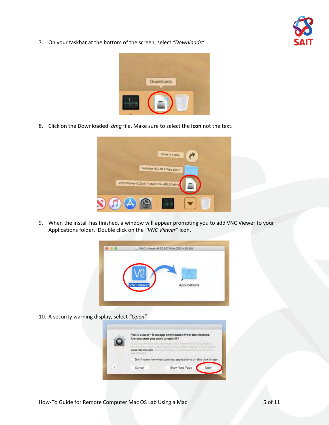

7. On your taskbar at the bottom of the screen, select *"Downloads"*



8. Click on the Downloaded *.dmg* file. Make sure to select the **icon** not the text.

|                                       | Open in Finder            |  |
|---------------------------------------|---------------------------|--|
| VNC-Viewer-6.20.817-MacOSX-x86_64.dmg | Installer R20.028 Web MAC |  |
|                                       |                           |  |

9. When the install has finished, a window will appear prompting you to add VNC Viewer to your Applications folder. Double click on the *"VNC Viewer"* icon.



10. A security warning display, select *"Open"*

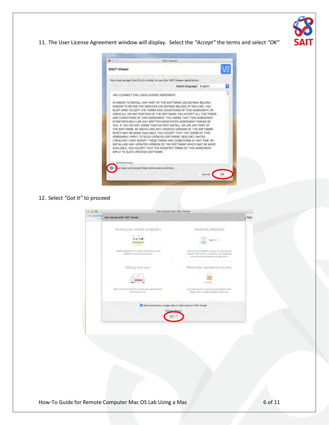

11. The User License Agreement window will display. Select the *"Accept"* the terms and select *"OK"*



12. Select *"Got It"* to proceed

| VACCOAN | Get started with VNC Viewer                                                        |                                                                                                                                                     |        |
|---------|------------------------------------------------------------------------------------|-----------------------------------------------------------------------------------------------------------------------------------------------------|--------|
|         |                                                                                    |                                                                                                                                                     | L Sign |
|         | Access your remote computers                                                       | Automatic discovery                                                                                                                                 |        |
|         | 0 <sub>0</sub>                                                                     | Sign in                                                                                                                                             |        |
|         | Downloading VNC to Lenide computing equives<br>searwers, secure remote access.     | Sign in to your fleatyry. Account to automatically.<br>discover VNC Connect competent, and instrumently<br>connect without network teconfiguration. |        |
|         | Backup and sync                                                                    | Remember passwords securely                                                                                                                         |        |
|         |                                                                                    |                                                                                                                                                     |        |
|         | Tiger in uns all your deviens or share your additional brusk-<br>whenever you are. | Lise Preferences > Privacy to further protect VWC<br>Viewer with a master password // you wish.                                                     |        |
|         | M Send anonymous usage data to help improve VNC Viewer<br>Privary Policy           |                                                                                                                                                     |        |
|         | GOT IT                                                                             |                                                                                                                                                     |        |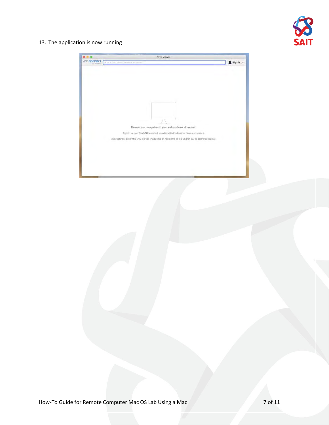

13. The application is now running

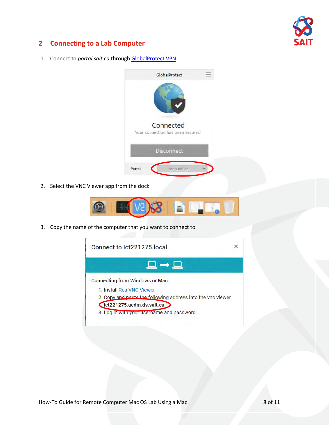

# <span id="page-7-0"></span>**2 Connecting to a Lab Computer**

1. Connect to *portal.sait.ca* throug[h GlobalProtect VPN](https://www.sait.ca/student-life/student-services/technical-support-and-resources/network-and-wifi-access)



2. Select the VNC Viewer app from the dock



3. Copy the name of the computer that you want to connect to

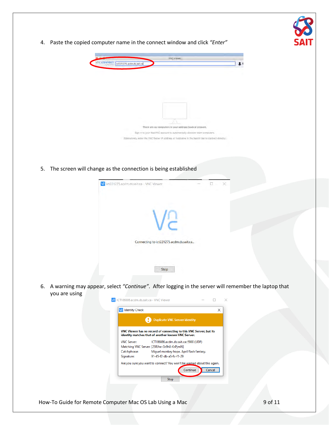

4. Paste the copied computer name in the connect window and click *"Enter"*



5. The screen will change as the connection is being established

| Va ict221275.acdm.ds.sait.ca - VNC Viewer |  | X. |
|-------------------------------------------|--|----|
|                                           |  |    |
| Connecting to ict221275.acdm.ds.sait.ca   |  |    |
| Stop                                      |  |    |

6. A warning may appear, select *"Continue"*. After logging in the server will remember the laptop that you are using

|                    | <b>Duplicate VNC Server identity</b>                                                                                     |
|--------------------|--------------------------------------------------------------------------------------------------------------------------|
|                    | VNC Viewer has no record of connecting to this VNC Server, but its<br>identity matches that of another known VNC Server. |
| <b>VNC Server:</b> | ICT186886.acdm.ds.sait.ca::5900 (UDP)                                                                                    |
|                    | Matching VNC Server: [23RJhe-Gs9h8-KsPjmN]                                                                               |
| Catchphrase:       | Miguel monkey hope. April flash fantasy.                                                                                 |
| Signature:         | 91-45-f2-db-a5-fc-f1-29                                                                                                  |
|                    | Are you sure you want to connect? You won't be warned about this again.                                                  |
|                    | Continue<br>Cancel                                                                                                       |
|                    |                                                                                                                          |
|                    | Stop                                                                                                                     |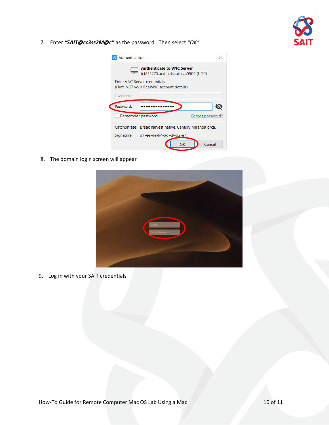

7. Enter *"SAIT@cc3ss2M@c"* as the password. Then select *"OK"*

| Authentication<br><b>Authenticate to VNC Server</b><br>ict221275.acdm.ds.sait.ca::5900 (UDP)<br><b>Enter VNC Server credentials</b><br>(Hint: NOT your RealVNC account details)<br>Username:<br>Password:<br>Remember password<br>Forgot password?<br>Catchphrase: Break harvest native. Century Miranda orca.<br>Signature: d7-ee-de-94-ad-c9-b2-e7<br>OК<br>Cancel |  |  |
|----------------------------------------------------------------------------------------------------------------------------------------------------------------------------------------------------------------------------------------------------------------------------------------------------------------------------------------------------------------------|--|--|
|                                                                                                                                                                                                                                                                                                                                                                      |  |  |
|                                                                                                                                                                                                                                                                                                                                                                      |  |  |
|                                                                                                                                                                                                                                                                                                                                                                      |  |  |
|                                                                                                                                                                                                                                                                                                                                                                      |  |  |
|                                                                                                                                                                                                                                                                                                                                                                      |  |  |
|                                                                                                                                                                                                                                                                                                                                                                      |  |  |
|                                                                                                                                                                                                                                                                                                                                                                      |  |  |
|                                                                                                                                                                                                                                                                                                                                                                      |  |  |
|                                                                                                                                                                                                                                                                                                                                                                      |  |  |

8. The domain login screen will appear



9. Log in with your SAIT credentials